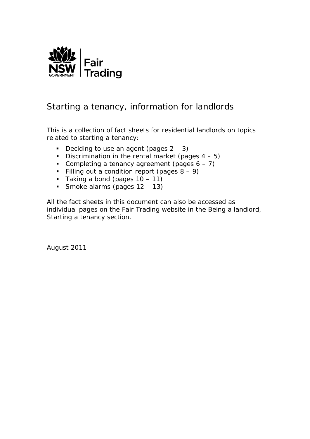

#### Starting a tenancy, information for landlords

This is a collection of fact sheets for residential landlords on topics related to starting a tenancy:

- Deciding to use an agent (pages  $2 3$ )
- Discrimination in the rental market (pages  $4 5$ )
- Completing a tenancy agreement (pages  $6 7$ )
- Filling out a condition report (pages  $8 9$ )
- $\blacksquare$  Taking a bond (pages 10 11)
- Smoke alarms (pages  $12 13$ )

All the fact sheets in this document can also be accessed as individual pages on the Fair Trading website in the *Being a landlord*, *Starting a tenancy* section.

August 2011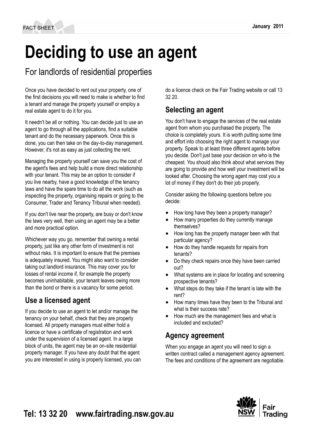# **Deciding to use an agent**

# For landlords of residential properties

Once you have decided to rent out your property, one of the first decisions you will need to make is whether to find a tenant and manage the property yourself or employ a real estate agent to do it for you.

It needn't be all or nothing. You can decide just to use an agent to go through all the applications, find a suitable tenant and do the necessary paperwork. Once this is done, you can then take on the day‑to-day management. However, it's not as easy as just collecting the rent.

Managing the property yourself can save you the cost of the agent's fees and help build a more direct relationship with your tenant. This may be an option to consider if you live nearby, have a good knowledge of the tenancy laws and have the spare time to do all the work (such as inspecting the property, organising repairs or going to the Consumer, Trader and Tenancy Tribunal when needed).

If you don't live near the property, are busy or don't know the laws very well, then using an agent may be a better and more practical option.

Whichever way you go, remember that owning a rental property, just like any other form of investment is not without risks. It is important to ensure that the premises is adequately insured. You might also want to consider taking out landlord insurance. This may cover you for losses of rental income if, for example the property becomes uninhabitable, your tenant leaves owing more than the bond or there is a vacancy for some period.

#### **Use a licensed agent**

If you decide to use an agent to let and/or manage the tenancy on your behalf, check that they are properly licensed. All property managers must either hold a licence or have a certificate of registration and work under the supervision of a licensed agent. In a large block of units, the agent may be an on-site residential property manager. If you have any doubt that the agent you are interested in using is properly licensed, you can do a licence check on the Fair Trading website or call 13 32 20.

### **Selecting an agent**

You don't have to engage the services of the real estate agent from whom you purchased the property. The choice is completely yours. It is worth putting some time and effort into choosing the right agent to manage your property. Speak to at least three different agents before you decide. Don't just base your decision on who is the cheapest. You should also think about what services they are going to provide and how well your investment will be looked after. Choosing the wrong agent may cost you a lot of money if they don't do their job properly.

Consider asking the following questions before you decide:

- How long have they been a property manager?
- How many properties do they currently manage themselves?
- How long has the property manager been with that particular agency?
- How do they handle requests for repairs from tenants?
- Do they check repairs once they have been carried out?
- What systems are in place for locating and screening prospective tenants?
- What steps do they take if the tenant is late with the rent?
- How many times have they been to the Tribunal and what is their success rate?
- How much are the management fees and what is included and excluded?

#### **Agency agreement**

When you engage an agent you will need to sign a written contract called a management agency agreement. The fees and conditions of the agreement are negotiable.

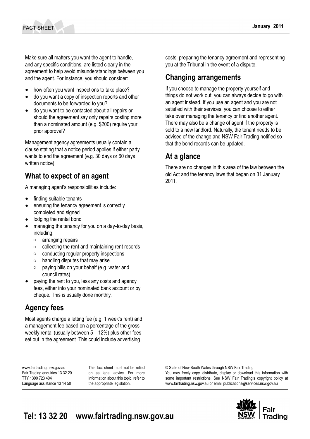Make sure all matters you want the agent to handle, and any specific conditions, are listed clearly in the agreement to help avoid misunderstandings between you and the agent. For instance, you should consider:

- how often you want inspections to take place?
- do you want a copy of inspection reports and other documents to be forwarded to you?
- do you want to be contacted about all repairs or should the agreement say only repairs costing more than a nominated amount (e.g. \$200) require your prior approval?

Management agency agreements usually contain a clause stating that a notice period applies if either party wants to end the agreement (e.g. 30 days or 60 days written notice).

#### **What to expect of an agent**

A managing agent's responsibilities include:

- finding suitable tenants
- ensuring the tenancy agreement is correctly completed and signed
- lodging the rental bond
- managing the tenancy for you on a day-to-day basis, including:
	- arranging repairs
	- collecting the rent and maintaining rent records
	- conducting regular property inspections
	- handling disputes that may arise
	- paying bills on your behalf (e.g. water and council rates).
- paying the rent to you, less any costs and agency fees, either into your nominated bank account or by cheque. This is usually done monthly.

#### **Agency fees**

Most agents charge a letting fee (e.g. 1 week's rent) and a management fee based on a percentage of the gross weekly rental (usually between 5 – 12%) plus other fees set out in the agreement. This could include advertising

www.fairtrading.nsw.gov.au Fair Trading enquiries 13 32 20 TTY 1300 723 404 Language assistance 13 14 50

This fact sheet must not be relied on as legal advice. For more information about this topic, refer to the appropriate legislation.

costs, preparing the tenancy agreement and representing you at the Tribunal in the event of a dispute.

#### **Changing arrangements**

If you choose to manage the property yourself and things do not work out, you can always decide to go with an agent instead. If you use an agent and you are not satisfied with their services, you can choose to either take over managing the tenancy or find another agent. There may also be a change of agent if the property is sold to a new landlord. Naturally, the tenant needs to be advised of the change and NSW Fair Trading notified so that the bond records can be updated.

#### **At a glance**

There are no changes in this area of the law between the old Act and the tenancy laws that began on 31 January 2011.

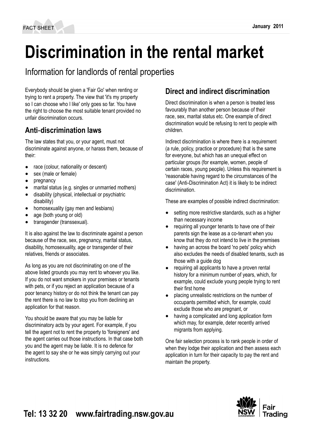# **Discrimination in the rental market**

Information for landlords of rental properties

Everybody should be given a 'Fair Go' when renting or trying to rent a property. The view that 'it's my property so I can choose who I like' only goes so far. You have the right to choose the most suitable tenant provided no unfair discrimination occurs.

#### **Anti**‑**discrimination laws**

The law states that you, or your agent, must not discriminate against anyone, or harass them, because of their:

- race (colour, nationality or descent)
- sex (male or female)
- pregnancy
- marital status (e.g. singles or unmarried mothers)
- disability (physical, intellectual or psychiatric disability)
- homosexuality (gay men and lesbians)
- age (both young or old)
- transgender (transsexual).

It is also against the law to discriminate against a person because of the race, sex, pregnancy, marital status, disability, homosexuality, age or transgender of their relatives, friends or associates.

As long as you are not discriminating on one of the above listed grounds you may rent to whoever you like. If you do not want smokers in your premises or tenants with pets, or if you reject an application because of a poor tenancy history or do not think the tenant can pay the rent there is no law to stop you from declining an application for that reason.

You should be aware that you may be liable for discriminatory acts by your agent. For example, if you tell the agent not to rent the property to 'foreigners' and the agent carries out those instructions. In that case both you and the agent may be liable. It is no defence for the agent to say she or he was simply carrying out your instructions.

## **Direct and indirect discrimination**

Direct discrimination is when a person is treated less favourably than another person because of their race, sex, marital status etc. One example of direct discrimination would be refusing to rent to people with children.

Indirect discrimination is where there is a requirement (a rule, policy, practice or procedure) that is the same for everyone, but which has an unequal effect on particular groups (for example, women, people of certain races, young people). Unless this requirement is 'reasonable having regard to the circumstances of the case' (Anti‑Discrimination Act) it is likely to be indirect discrimination.

These are examples of possible indirect discrimination:

- setting more restrictive standards, such as a higher than necessary income
- requiring all younger tenants to have one of their parents sign the lease as a co-tenant when you know that they do not intend to live in the premises
- having an across the board 'no pets' policy which also excludes the needs of disabled tenants, such as those with a guide dog
- requiring all applicants to have a proven rental history for a minimum number of years, which, for example, could exclude young people trying to rent their first home
- placing unrealistic restrictions on the number of occupants permitted which, for example, could exclude those who are pregnant, or
- having a complicated and long application form which may, for example, deter recently arrived migrants from applying.

One fair selection process is to rank people in order of when they lodge their application and then assess each application in turn for their capacity to pay the rent and maintain the property.

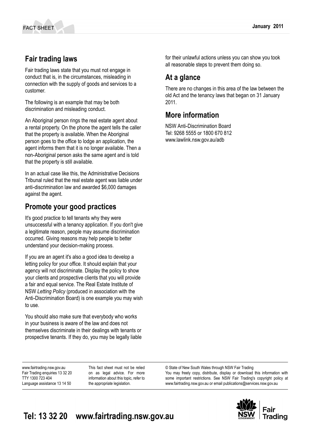#### **Fair trading laws**

Fair trading laws state that you must not engage in conduct that is, in the circumstances, misleading in connection with the supply of goods and services to a customer.

The following is an example that may be both discrimination and misleading conduct.

An Aboriginal person rings the real estate agent about a rental property. On the phone the agent tells the caller that the property is available. When the Aboriginal person goes to the office to lodge an application, the agent informs them that it is no longer available. Then a non‑Aboriginal person asks the same agent and is told that the property is still available.

In an actual case like this, the Administrative Decisions Tribunal ruled that the real estate agent was liable under anti‑discrimination law and awarded \$6,000 damages against the agent.

#### **Promote your good practices**

It's good practice to tell tenants why they were unsuccessful with a tenancy application. If you don't give a legitimate reason, people may assume discrimination occurred. Giving reasons may help people to better understand your decision‑making process.

If you are an agent it's also a good idea to develop a letting policy for your office. It should explain that your agency will not discriminate. Display the policy to show your clients and prospective clients that you will provide a fair and equal service. The Real Estate Institute of NSW *Letting Policy* (produced in association with the Anti-Discrimination Board) is one example you may wish to use.

You should also make sure that everybody who works in your business is aware of the law and does not themselves discriminate in their dealings with tenants or prospective tenants. If they do, you may be legally liable for their unlawful actions unless you can show you took all reasonable steps to prevent them doing so.

#### **At a glance**

There are no changes in this area of the law between the old Act and the tenancy laws that began on 31 January 2011.

#### **More information**

NSW Anti‑Discrimination Board Tel: 9268 5555 or 1800 670 812 www.lawlink.nsw.gov.au/adb

www.fairtrading.nsw.gov.au Fair Trading enquiries 13 32 20 TTY 1300 723 404 Language assistance 13 14 50

This fact sheet must not be relied on as legal advice. For more information about this topic, refer to the appropriate legislation.

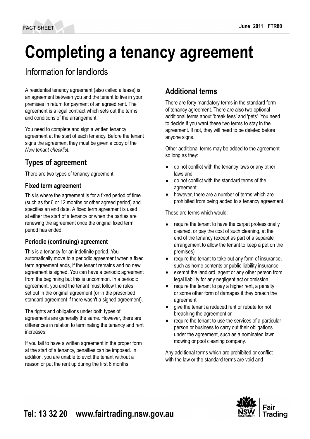# **Completing a tenancy agreement**

# Information for landlords

A residential tenancy agreement (also called a lease) is an agreement between you and the tenant to live in your premises in return for payment of an agreed rent. The agreement is a legal contract which sets out the terms and conditions of the arrangement.

You need to complete and sign a written tenancy agreement at the start of each tenancy. Before the tenant signs the agreement they must be given a copy of the *New tenant checklist*.

### **Types of agreement**

There are two types of tenancy agreement.

#### **Fixed term agreement**

This is where the agreement is for a fixed period of time (such as for 6 or 12 months or other agreed period) and specifies an end date. A fixed term agreement is used at either the start of a tenancy or when the parties are renewing the agreement once the original fixed term period has ended.

#### **Periodic (continuing) agreement**

This is a tenancy for an indefinite period. You automatically move to a periodic agreement when a fixed term agreement ends, if the tenant remains and no new agreement is signed. You can have a periodic agreement from the beginning but this is uncommon. In a periodic agreement, you and the tenant must follow the rules set out in the original agreement (or in the prescribed standard agreement if there wasn't a signed agreement).

The rights and obligations under both types of agreements are generally the same. However, there are differences in relation to terminating the tenancy and rent increases.

If you fail to have a written agreement in the proper form at the start of a tenancy, penalties can be imposed. In addition, you are unable to evict the tenant without a reason or put the rent up during the first 6 months.

#### **Additional terms**

There are forty mandatory terms in the standard form of tenancy agreement. There are also two optional additional terms about 'break fees' and 'pets'. You need to decide if you want these two terms to stay in the agreement. If not, they will need to be deleted before anyone signs.

Other additional terms may be added to the agreement so long as they:

- do not conflict with the tenancy laws or any other laws and
- do not conflict with the standard terms of the agreement
- however, there are a number of terms which are prohibited from being added to a tenancy agreement.

These are terms which would:

- require the tenant to have the carpet professionally cleaned, or pay the cost of such cleaning, at the end of the tenancy (except as part of a separate arrangement to allow the tenant to keep a pet on the premises)
- require the tenant to take out any form of insurance, such as home contents or public liability insurance
- exempt the landlord, agent or any other person from legal liability for any negligent act or omission
- require the tenant to pay a higher rent, a penalty or some other form of damages if they breach the agreement
- give the tenant a reduced rent or rebate for not breaching the agreement or
- require the tenant to use the services of a particular person or business to carry out their obligations under the agreement, such as a nominated lawn mowing or pool cleaning company.

Any additional terms which are prohibited or conflict with the law or the standard terms are void and

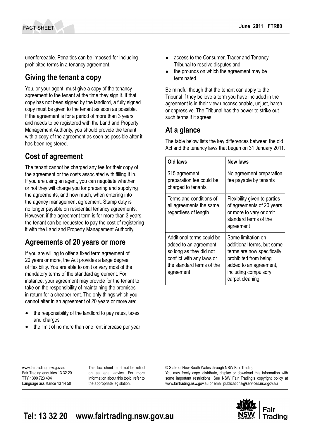unenforceable. Penalties can be imposed for including prohibited terms in a tenancy agreement.

#### **Giving the tenant a copy**

You, or your agent, must give a copy of the tenancy agreement to the tenant at the time they sign it. If that copy has not been signed by the landlord, a fully signed copy must be given to the tenant as soon as possible. If the agreement is for a period of more than 3 years and needs to be registered with the Land and Property Management Authority, you should provide the tenant with a copy of the agreement as soon as possible after it has been registered.

#### **Cost of agreement**

The tenant cannot be charged any fee for their copy of the agreement or the costs associated with filling it in. If you are using an agent, you can negotiate whether or not they will charge you for preparing and supplying the agreements, and how much, when entering into the agency management agreement. Stamp duty is no longer payable on residential tenancy agreements. However, if the agreement term is for more than 3 years, the tenant can be requested to pay the cost of registering it with the Land and Property Management Authority.

#### **Agreements of 20 years or more**

If you are willing to offer a fixed term agreement of 20 years or more, the Act provides a large degree of flexibility. You are able to omit or vary most of the mandatory terms of the standard agreement. For instance, your agreement may provide for the tenant to take on the responsibility of maintaining the premises in return for a cheaper rent. The only things which you cannot alter in an agreement of 20 years or more are:

- the responsibility of the landlord to pay rates, taxes and charges
- the limit of no more than one rent increase per year
- access to the Consumer, Trader and Tenancy Tribunal to resolve disputes and
- the grounds on which the agreement may be terminated.

Be mindful though that the tenant can apply to the Tribunal if they believe a term you have included in the agreement is in their view unconscionable, unjust, harsh or oppressive. The Tribunal has the power to strike out such terms if it agrees.

### **At a glance**

The table below lists the key differences between the old Act and the tenancy laws that began on 31 January 2011.

| Old laws                                                                                                                                             | New laws                                                                                                                                                                     |
|------------------------------------------------------------------------------------------------------------------------------------------------------|------------------------------------------------------------------------------------------------------------------------------------------------------------------------------|
| \$15 agreement<br>preparation fee could be<br>charged to tenants                                                                                     | No agreement preparation<br>fee payable by tenants                                                                                                                           |
| Terms and conditions of<br>all agreements the same,<br>regardless of length                                                                          | Flexibility given to parties<br>of agreements of 20 years<br>or more to vary or omit<br>standard terms of the<br>agreement                                                   |
| Additional terms could be<br>added to an agreement<br>so long as they did not<br>conflict with any laws or<br>the standard terms of the<br>agreement | Same limitation on<br>additional terms, but some<br>terms are now specifically<br>prohibited from being<br>added to an agreement,<br>including compulsory<br>carpet cleaning |

www.fairtrading.nsw.gov.au Fair Trading enquiries 13 32 20 TTY 1300 723 404 Language assistance 13 14 50

This fact sheet must not be relied on as legal advice. For more information about this topic, refer to the appropriate legislation.

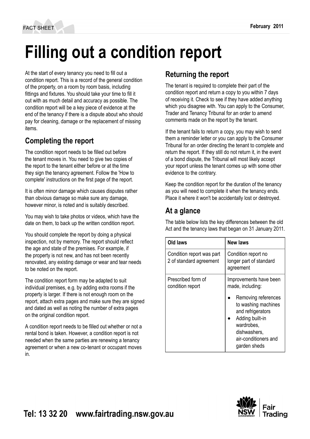# **Filling out a condition report**

At the start of every tenancy you need to fill out a condition report. This is a record of the general condition of the property, on a room by room basis, including fittings and fixtures. You should take your time to fill it out with as much detail and accuracy as possible. The condition report will be a key piece of evidence at the end of the tenancy if there is a dispute about who should pay for cleaning, damage or the replacement of missing items.

### **Completing the report**

The condition report needs to be filled out before the tenant moves in. You need to give two copies of the report to the tenant either before or at the time they sign the tenancy agreement. Follow the 'How to complete' instructions on the first page of the report.

It is often minor damage which causes disputes rather than obvious damage so make sure any damage, however minor, is noted and is suitably described.

You may wish to take photos or videos, which have the date on them, to back up the written condition report.

You should complete the report by doing a physical inspection, not by memory. The report should reflect the age and state of the premises. For example, if the property is not new, and has not been recently renovated, any existing damage or wear and tear needs to be noted on the report.

The condition report form may be adapted to suit individual premises, e.g. by adding extra rooms if the property is larger. If there is not enough room on the report, attach extra pages and make sure they are signed and dated as well as noting the number of extra pages on the original condition report.

A condition report needs to be filled out whether or not a rental bond is taken. However, a condition report is not needed when the same parties are renewing a tenancy agreement or when a new co-tenant or occupant moves in.

## **Returning the report**

The tenant is required to complete their part of the condition report and return a copy to you within 7 days of receiving it. Check to see if they have added anything which you disagree with. You can apply to the Consumer, Trader and Tenancy Tribunal for an order to amend comments made on the report by the tenant.

If the tenant fails to return a copy, you may wish to send them a reminder letter or you can apply to the Consumer Tribunal for an order directing the tenant to complete and return the report. If they still do not return it, in the event of a bond dispute, the Tribunal will most likely accept your report unless the tenant comes up with some other evidence to the contrary.

Keep the condition report for the duration of the tenancy as you will need to complete it when the tenancy ends. Place it where it won't be accidentally lost or destroyed.

### **At a glance**

The table below lists the key differences between the old Act and the tenancy laws that began on 31 January 2011.

| Old laws                                             | New laws                                                                                                                                                                                               |
|------------------------------------------------------|--------------------------------------------------------------------------------------------------------------------------------------------------------------------------------------------------------|
| Condition report was part<br>2 of standard agreement | Condition report no<br>longer part of standard<br>agreement                                                                                                                                            |
| Prescribed form of<br>condition report               | Improvements have been<br>made, including:<br>Removing references<br>to washing machines<br>and refrigerators<br>Adding built-in<br>wardrobes,<br>dishwashers,<br>air-conditioners and<br>garden sheds |

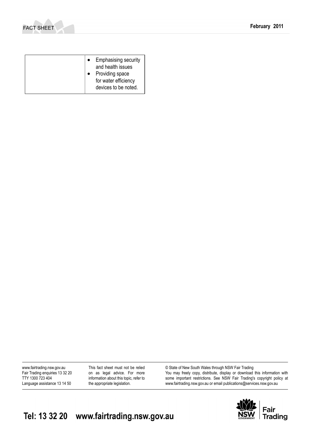

| <b>Emphasising security</b><br>and health issues<br>Providing space<br>for water efficiency<br>devices to be noted. |
|---------------------------------------------------------------------------------------------------------------------|
|                                                                                                                     |

www.fairtrading.nsw.gov.au Fair Trading enquiries 13 32 20 TTY 1300 723 404 Language assistance 13 14 50

This fact sheet must not be relied on as legal advice. For more information about this topic, refer to the appropriate legislation.

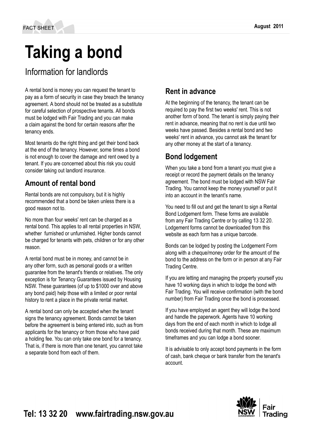# **Taking a bond**

Information for landlords

A rental bond is money you can request the tenant to pay as a form of security in case they breach the tenancy agreement. A bond should not be treated as a substitute for careful selection of prospective tenants. All bonds must be lodged with Fair Trading and you can make a claim against the bond for certain reasons after the tenancy ends.

Most tenants do the right thing and get their bond back at the end of the tenancy. However, some times a bond is not enough to cover the damage and rent owed by a tenant. If you are concerned about this risk you could consider taking out landlord insurance.

#### **Amount of rental bond**

Rental bonds are not compulsory, but it is highly recommended that a bond be taken unless there is a good reason not to.

No more than four weeks' rent can be charged as a rental bond. This applies to all rental properties in NSW, whether furnished or unfurnished. Higher bonds cannot be charged for tenants with pets, children or for any other reason.

A rental bond must be in money, and cannot be in any other form, such as personal goods or a written guarantee from the tenant's friends or relatives. The only exception is for Tenancy Guarantees issued by Housing NSW. These guarantees (of up to \$1000 over and above any bond paid) help those with a limited or poor rental history to rent a place in the private rental market.

A rental bond can only be accepted when the tenant signs the tenancy agreement. Bonds cannot be taken before the agreement is being entered into, such as from applicants for the tenancy or from those who have paid a holding fee. You can only take one bond for a tenancy. That is, if there is more than one tenant, you cannot take a separate bond from each of them.

# **Rent in advance**

At the beginning of the tenancy, the tenant can be required to pay the first two weeks' rent. This is not another form of bond. The tenant is simply paying their rent in advance, meaning that no rent is due until two weeks have passed. Besides a rental bond and two weeks' rent in advance, you cannot ask the tenant for any other money at the start of a tenancy.

### **Bond lodgement**

When you take a bond from a tenant you must give a receipt or record the payment details on the tenancy agreement. The bond must be lodged with NSW Fair Trading. You cannot keep the money yourself or put it into an account in the tenant's name.

You need to fill out and get the tenant to sign a Rental Bond Lodgement form. These forms are available from any Fair Trading Centre or by calling 13 32 20. Lodgement forms cannot be downloaded from this website as each form has a unique barcode.

Bonds can be lodged by posting the Lodgement Form along with a cheque/money order for the amount of the bond to the address on the form or in person at any Fair Trading Centre.

If you are letting and managing the property yourself you have 10 working days in which to lodge the bond with Fair Trading. You will receive confirmation (with the bond number) from Fair Trading once the bond is processed.

If you have employed an agent they will lodge the bond and handle the paperwork. Agents have 10 working days from the end of each month in which to lodge all bonds received during that month. These are maximum timeframes and you can lodge a bond sooner.

It is advisable to only accept bond payments in the form of cash, bank cheque or bank transfer from the tenant's account.

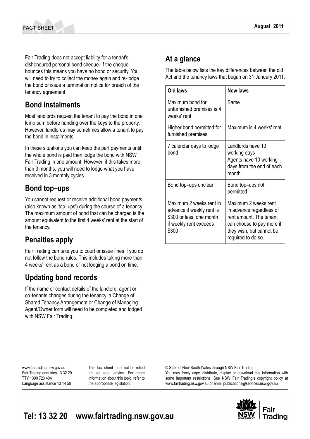Fair Trading does not accept liability for a tenant's dishonoured personal bond cheque. If the cheque bounces this means you have no bond or security. You will need to try to collect the money again and re-lodge the bond or issue a termination notice for breach of the tenancy agreement.

#### **Bond instalments**

Most landlords request the tenant to pay the bond in one lump sum before handing over the keys to the property. However, landlords may sometimes allow a tenant to pay the bond in instalments.

In these situations you can keep the part payments until the whole bond is paid then lodge the bond with NSW Fair Trading in one amount. However, if this takes more than 3 months, you will need to lodge what you have received in 3 monthly cycles.

#### **Bond top–ups**

You cannot request or receive additional bond payments (also known as 'top–ups') during the course of a tenancy. The maximum amount of bond that can be charged is the amount equivalent to the first 4 weeks' rent at the start of the tenancy.

## **Penalties apply**

Fair Trading can take you to court or issue fines if you do not follow the bond rules. This includes taking more than 4 weeks' rent as a bond or not lodging a bond on time.

#### **Updating bond records**

If the name or contact details of the landlord, agent or co-tenants changes during the tenancy, a Change of Shared Tenancy Arrangement or Change of Managing Agent/Owner form will need to be completed and lodged with NSW Fair Trading.

# **At a glance**

The table below lists the key differences between the old Act and the tenancy laws that began on 31 January 2011.

| Old laws                                                                                                            | <b>New laws</b>                                                                                                                                            |
|---------------------------------------------------------------------------------------------------------------------|------------------------------------------------------------------------------------------------------------------------------------------------------------|
| Maximum bond for<br>unfurnished premises is 4<br>weeks' rent                                                        | Same                                                                                                                                                       |
| Higher bond permitted for<br>furnished premises                                                                     | Maximum is 4 weeks' rent                                                                                                                                   |
| 7 calendar days to lodge<br>bond                                                                                    | Landlords have 10<br>working days<br>Agents have 10 working<br>days from the end of each<br>month                                                          |
| Bond top-ups unclear                                                                                                | Bond top-ups not<br>permitted                                                                                                                              |
| Maximum 2 weeks rent in<br>advance if weekly rent is<br>\$300 or less, one month<br>if weekly rent exceeds<br>\$300 | Maximum 2 weeks rent<br>in advance regardless of<br>rent amount. The tenant<br>can choose to pay more if<br>they wish, but cannot be<br>required to do so. |

www.fairtrading.nsw.gov.au Fair Trading enquiries 13 32 20 TTY 1300 723 404 Language assistance 13 14 50

This fact sheet must not be relied on as legal advice. For more information about this topic, refer to the appropriate legislation.

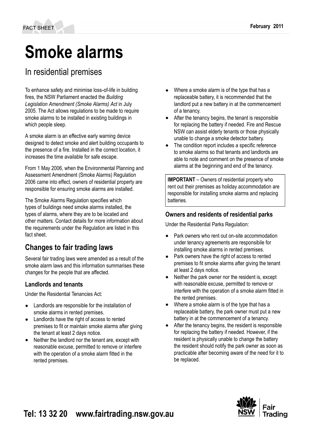# **Smoke alarms**

## In residential premises

To enhance safety and minimise loss‑of-life in building fires, the NSW Parliament enacted the *Building Legislation Amendment (Smoke Alarms) Act* in July 2005. The Act allows regulations to be made to require smoke alarms to be installed in existing buildings in which people sleep.

A smoke alarm is an effective early warning device designed to detect smoke and alert building occupants to the presence of a fire. Installed in the correct location, it increases the time available for safe escape.

From 1 May 2006, when the Environmental Planning and Assessment Amendment (Smoke Alarms) Regulation 2006 came into effect, owners of residential property are responsible for ensuring smoke alarms are installed.

The Smoke Alarms Regulation specifies which types of buildings need smoke alarms installed, the types of alarms, where they are to be located and other matters. Contact details for more information about the requirements under the Regulation are listed in this fact sheet.

## **Changes to fair trading laws**

Several fair trading laws were amended as a result of the smoke alarm laws and this information summarises these changes for the people that are affected.

#### **Landlords and tenants**

Under the Residential Tenancies Act:

- Landlords are responsible for the installation of smoke alarms in rented premises.
- Landlords have the right of access to rented premises to fit or maintain smoke alarms after giving the tenant at least 2 days notice.
- Neither the landlord nor the tenant are, except with reasonable excuse, permitted to remove or interfere with the operation of a smoke alarm fitted in the rented premises.
- Where a smoke alarm is of the type that has a replaceable battery, it is recommended that the landlord put a new battery in at the commencement of a tenancy.
- After the tenancy begins, the tenant is responsible for replacing the battery if needed. Fire and Rescue NSW can assist elderly tenants or those physically unable to change a smoke detector battery.
- The condition report includes a specific reference to smoke alarms so that tenants and landlords are able to note and comment on the presence of smoke alarms at the beginning and end of the tenancy.

**IMPORTANT** – Owners of residential property who rent out their premises as holiday accommodation are responsible for installing smoke alarms and replacing batteries.

#### **Owners and residents of residential parks**

Under the Residential Parks Regulation:

- Park owners who rent out on-site accommodation under tenancy agreements are responsibile for installing smoke alarms in rented premises.
- Park owners have the right of access to rented premises to fit smoke alarms after giving the tenant at least 2 days notice.
- Neither the park owner nor the resident is, except with reasonable excuse, permitted to remove or interfere with the operation of a smoke alarm fitted in the rented premises.
- Where a smoke alarm is of the type that has a replaceable battery, the park owner must put a new battery in at the commencement of a tenancy.
- After the tenancy begins, the resident is responsible for replacing the battery if needed. However, if the resident is physically unable to change the battery the resident should notify the park owner as soon as practicable after becoming aware of the need for it to be replaced.